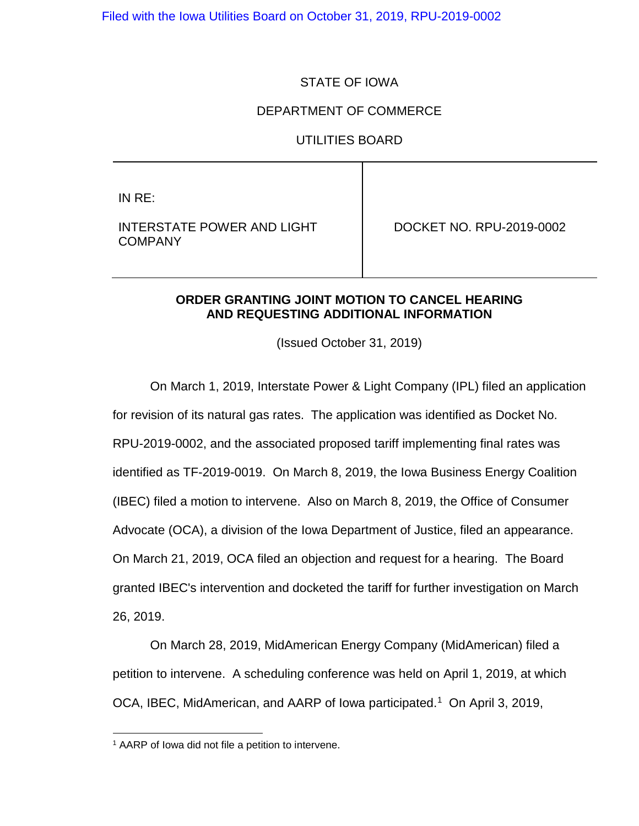Filed with the Iowa Utilities Board on October 31, 2019, RPU-2019-0002

## STATE OF IOWA

### DEPARTMENT OF COMMERCE

#### UTILITIES BOARD

IN RE:

INTERSTATE POWER AND LIGHT **COMPANY** 

DOCKET NO. RPU-2019-0002

### **ORDER GRANTING JOINT MOTION TO CANCEL HEARING AND REQUESTING ADDITIONAL INFORMATION**

(Issued October 31, 2019)

On March 1, 2019, Interstate Power & Light Company (IPL) filed an application for revision of its natural gas rates. The application was identified as Docket No. RPU-2019-0002, and the associated proposed tariff implementing final rates was identified as TF-2019-0019. On March 8, 2019, the Iowa Business Energy Coalition (IBEC) filed a motion to intervene. Also on March 8, 2019, the Office of Consumer Advocate (OCA), a division of the Iowa Department of Justice, filed an appearance. On March 21, 2019, OCA filed an objection and request for a hearing. The Board granted IBEC's intervention and docketed the tariff for further investigation on March 26, 2019.

On March 28, 2019, MidAmerican Energy Company (MidAmerican) filed a petition to intervene. A scheduling conference was held on April 1, 2019, at which OCA, IBEC, MidAmerican, and AARP of Iowa participated.<sup>1</sup> On April 3, 2019,

<span id="page-0-0"></span><sup>&</sup>lt;sup>1</sup> AARP of lowa did not file a petition to intervene.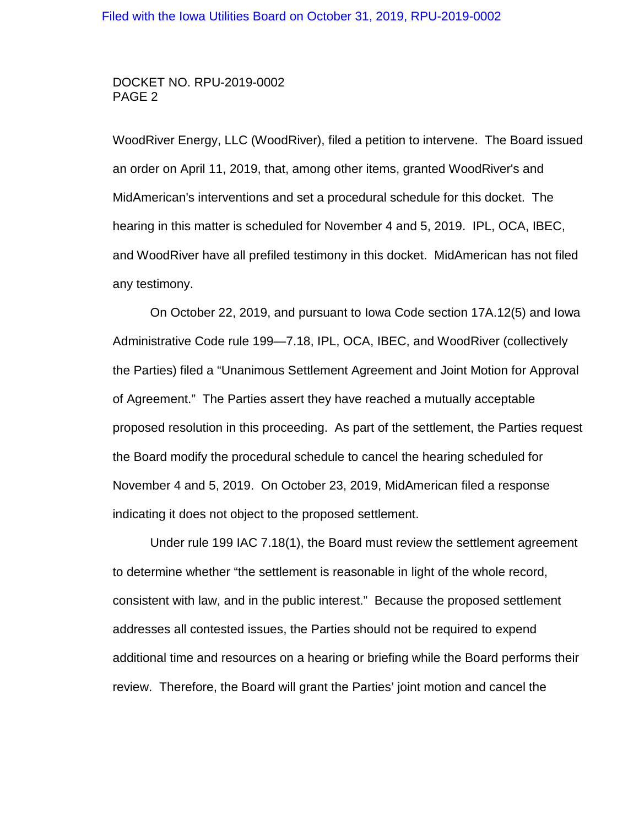### DOCKET NO. RPU-2019-0002 PAGE 2

WoodRiver Energy, LLC (WoodRiver), filed a petition to intervene. The Board issued an order on April 11, 2019, that, among other items, granted WoodRiver's and MidAmerican's interventions and set a procedural schedule for this docket. The hearing in this matter is scheduled for November 4 and 5, 2019. IPL, OCA, IBEC, and WoodRiver have all prefiled testimony in this docket. MidAmerican has not filed any testimony.

On October 22, 2019, and pursuant to Iowa Code section 17A.12(5) and Iowa Administrative Code rule 199—7.18, IPL, OCA, IBEC, and WoodRiver (collectively the Parties) filed a "Unanimous Settlement Agreement and Joint Motion for Approval of Agreement." The Parties assert they have reached a mutually acceptable proposed resolution in this proceeding. As part of the settlement, the Parties request the Board modify the procedural schedule to cancel the hearing scheduled for November 4 and 5, 2019. On October 23, 2019, MidAmerican filed a response indicating it does not object to the proposed settlement.

Under rule 199 IAC 7.18(1), the Board must review the settlement agreement to determine whether "the settlement is reasonable in light of the whole record, consistent with law, and in the public interest." Because the proposed settlement addresses all contested issues, the Parties should not be required to expend additional time and resources on a hearing or briefing while the Board performs their review. Therefore, the Board will grant the Parties' joint motion and cancel the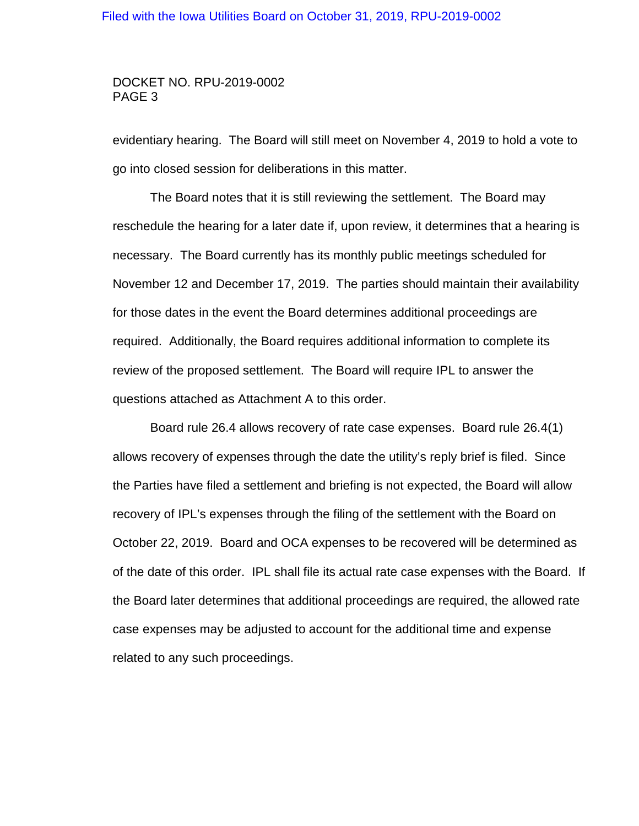#### Filed with the Iowa Utilities Board on October 31, 2019, RPU-2019-0002

#### DOCKET NO. RPU-2019-0002 PAGE 3

evidentiary hearing. The Board will still meet on November 4, 2019 to hold a vote to go into closed session for deliberations in this matter.

The Board notes that it is still reviewing the settlement. The Board may reschedule the hearing for a later date if, upon review, it determines that a hearing is necessary. The Board currently has its monthly public meetings scheduled for November 12 and December 17, 2019. The parties should maintain their availability for those dates in the event the Board determines additional proceedings are required. Additionally, the Board requires additional information to complete its review of the proposed settlement. The Board will require IPL to answer the questions attached as Attachment A to this order.

Board rule 26.4 allows recovery of rate case expenses. Board rule 26.4(1) allows recovery of expenses through the date the utility's reply brief is filed. Since the Parties have filed a settlement and briefing is not expected, the Board will allow recovery of IPL's expenses through the filing of the settlement with the Board on October 22, 2019. Board and OCA expenses to be recovered will be determined as of the date of this order. IPL shall file its actual rate case expenses with the Board. If the Board later determines that additional proceedings are required, the allowed rate case expenses may be adjusted to account for the additional time and expense related to any such proceedings.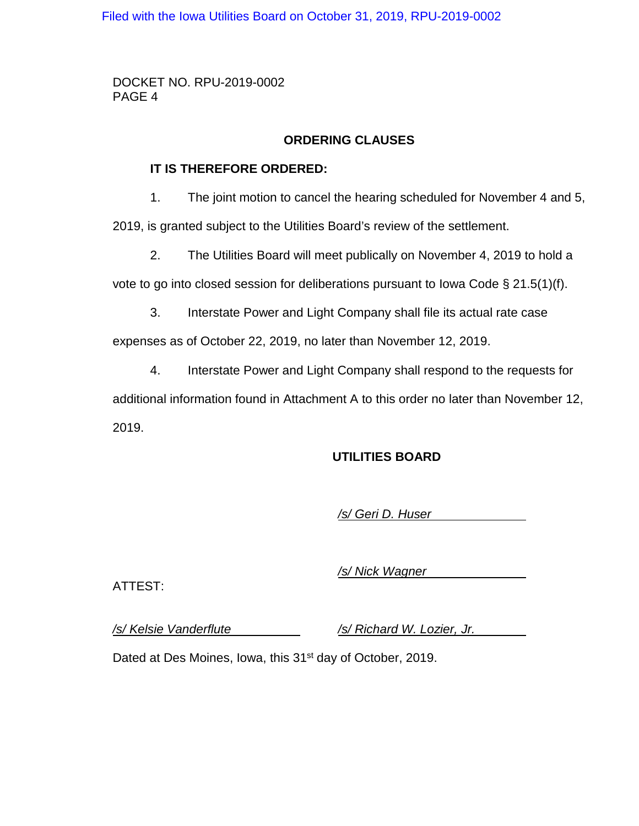Filed with the Iowa Utilities Board on October 31, 2019, RPU-2019-0002

DOCKET NO. RPU-2019-0002 PAGE 4

# **ORDERING CLAUSES**

## **IT IS THEREFORE ORDERED:**

1. The joint motion to cancel the hearing scheduled for November 4 and 5,

2019, is granted subject to the Utilities Board's review of the settlement.

2. The Utilities Board will meet publically on November 4, 2019 to hold a

vote to go into closed session for deliberations pursuant to Iowa Code § 21.5(1)(f).

3. Interstate Power and Light Company shall file its actual rate case

expenses as of October 22, 2019, no later than November 12, 2019.

4. Interstate Power and Light Company shall respond to the requests for

additional information found in Attachment A to this order no later than November 12, 2019.

# **UTILITIES BOARD**

*/s/ Geri D. Huser*

ATTEST:

*/s/ Nick Wagner*

*/s/ Kelsie Vanderflute /s/ Richard W. Lozier, Jr.*

Dated at Des Moines, Iowa, this 31<sup>st</sup> day of October, 2019.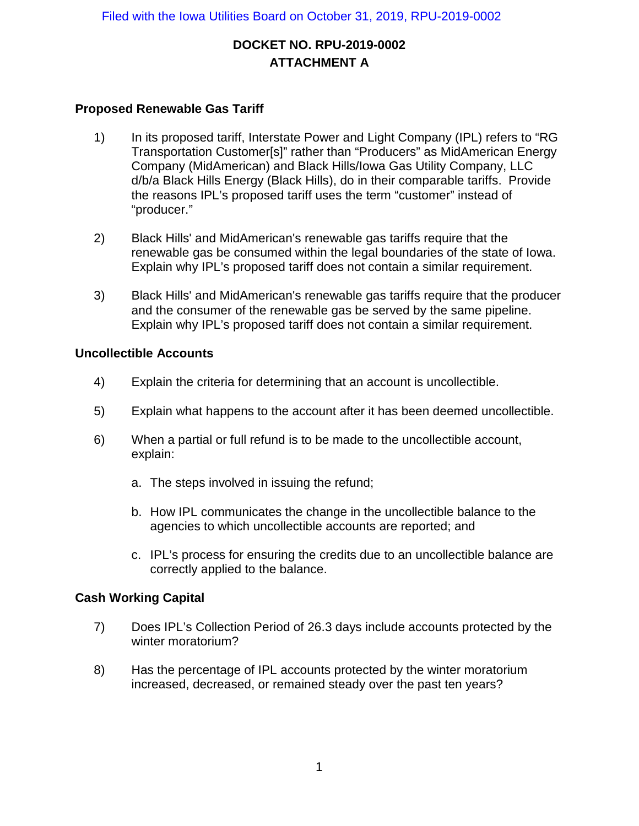# **DOCKET NO. RPU-2019-0002 ATTACHMENT A**

## **Proposed Renewable Gas Tariff**

- 1) In its proposed tariff, Interstate Power and Light Company (IPL) refers to "RG Transportation Customer[s]" rather than "Producers" as MidAmerican Energy Company (MidAmerican) and Black Hills/Iowa Gas Utility Company, LLC d/b/a Black Hills Energy (Black Hills), do in their comparable tariffs. Provide the reasons IPL's proposed tariff uses the term "customer" instead of "producer."
- 2) Black Hills' and MidAmerican's renewable gas tariffs require that the renewable gas be consumed within the legal boundaries of the state of Iowa. Explain why IPL's proposed tariff does not contain a similar requirement.
- 3) Black Hills' and MidAmerican's renewable gas tariffs require that the producer and the consumer of the renewable gas be served by the same pipeline. Explain why IPL's proposed tariff does not contain a similar requirement.

## **Uncollectible Accounts**

- 4) Explain the criteria for determining that an account is uncollectible.
- 5) Explain what happens to the account after it has been deemed uncollectible.
- 6) When a partial or full refund is to be made to the uncollectible account, explain:
	- a. The steps involved in issuing the refund;
	- b. How IPL communicates the change in the uncollectible balance to the agencies to which uncollectible accounts are reported; and
	- c. IPL's process for ensuring the credits due to an uncollectible balance are correctly applied to the balance.

# **Cash Working Capital**

- 7) Does IPL's Collection Period of 26.3 days include accounts protected by the winter moratorium?
- 8) Has the percentage of IPL accounts protected by the winter moratorium increased, decreased, or remained steady over the past ten years?